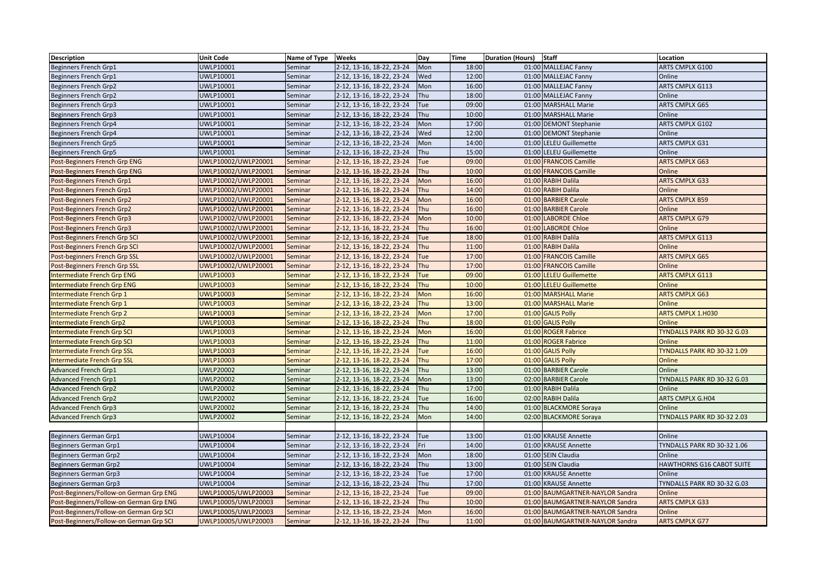| <b>Description</b>                      | <b>Unit Code</b>    | Name of Type   Weeks |                           | Day        | <b>Time</b> | <b>Staff</b><br><b>Duration (Hours)</b> | Location                    |
|-----------------------------------------|---------------------|----------------------|---------------------------|------------|-------------|-----------------------------------------|-----------------------------|
| Beginners French Grp1                   | UWLP10001           | Seminar              | 2-12, 13-16, 18-22, 23-24 | Mon        | 18:00       | 01:00 MALLEJAC Fanny                    | ARTS CMPLX G100             |
| Beginners French Grp1                   | UWLP10001           | Seminar              | 2-12, 13-16, 18-22, 23-24 | Wed        | 12:00       | 01:00 MALLEJAC Fanny                    | Online                      |
| Beginners French Grp2                   | UWLP10001           | Seminar              | 2-12, 13-16, 18-22, 23-24 | Mon        | 16:00       | 01:00 MALLEJAC Fanny                    | ARTS CMPLX G113             |
| Beginners French Grp2                   | UWLP10001           | Seminar              | 2-12, 13-16, 18-22, 23-24 | Thu        | 18:00       | 01:00 MALLEJAC Fanny                    | Online                      |
| Beginners French Grp3                   | UWLP10001           | Seminar              | 2-12, 13-16, 18-22, 23-24 | Tue        | 09:00       | 01:00 MARSHALL Marie                    | ARTS CMPLX G65              |
| Beginners French Grp3                   | UWLP10001           | Seminar              | 2-12, 13-16, 18-22, 23-24 | Thu        | 10:00       | 01:00 MARSHALL Marie                    | Online                      |
| Beginners French Grp4                   | UWLP10001           | Seminar              | 2-12, 13-16, 18-22, 23-24 | Mon        | 17:00       | 01:00 DEMONT Stephanie                  | ARTS CMPLX G102             |
| Beginners French Grp4                   | UWLP10001           | Seminar              | 2-12, 13-16, 18-22, 23-24 | Wed        | 12:00       | 01:00 DEMONT Stephanie                  | Online                      |
| <b>Beginners French Grp5</b>            | UWLP10001           | Seminar              | 2-12, 13-16, 18-22, 23-24 | Mon        | 14:00       | 01:00 LELEU Guillemette                 | <b>ARTS CMPLX G31</b>       |
| Beginners French Grp5                   | UWLP10001           | Seminar              | 2-12, 13-16, 18-22, 23-24 | Thu        | 15:00       | 01:00 LELEU Guillemette                 | Online                      |
| Post-Beginners French Grp ENG           | UWLP10002/UWLP20001 | Seminar              | 2-12, 13-16, 18-22, 23-24 | Tue        | 09:00       | 01:00 FRANCOIS Camille                  | <b>ARTS CMPLX G63</b>       |
| Post-Beginners French Grp ENG           | UWLP10002/UWLP20001 | Seminar              | 2-12, 13-16, 18-22, 23-24 | Thu        | 10:00       | 01:00 FRANCOIS Camille                  | Online                      |
| Post-Beginners French Grp1              | UWLP10002/UWLP20001 | Seminar              | 2-12, 13-16, 18-22, 23-24 | Mon        | 16:00       | 01:00 RABIH Dalila                      | <b>ARTS CMPLX G33</b>       |
| Post-Beginners French Grp1              | UWLP10002/UWLP20001 | Seminar              | 2-12, 13-16, 18-22, 23-24 | Thu        | 14:00       | 01:00 RABIH Dalila                      | Online                      |
| Post-Beginners French Grp2              | UWLP10002/UWLP20001 | Seminar              | 2-12, 13-16, 18-22, 23-24 | Mon        | 16:00       | 01:00 BARBIER Carole                    | <b>ARTS CMPLX B59</b>       |
| Post-Beginners French Grp2              | UWLP10002/UWLP20001 | Seminar              | 2-12, 13-16, 18-22, 23-24 | Thu        | 16:00       | 01:00 BARBIER Carole                    | Online                      |
| Post-Beginners French Grp3              | UWLP10002/UWLP20001 | Seminar              | 2-12, 13-16, 18-22, 23-24 | Mon        | 10:00       | 01:00 LABORDE Chloe                     | <b>ARTS CMPLX G79</b>       |
| Post-Beginners French Grp3              | UWLP10002/UWLP20001 | Seminar              | 2-12, 13-16, 18-22, 23-24 | Thu        | 16:00       | 01:00 LABORDE Chloe                     | Online                      |
| Post-Beginners French Grp SCI           | UWLP10002/UWLP20001 | Seminar              | 2-12, 13-16, 18-22, 23-24 | Tue        | 18:00       | 01:00 RABIH Dalila                      | <b>ARTS CMPLX G113</b>      |
| Post-Beginners French Grp SCI           | UWLP10002/UWLP20001 | Seminar              | 2-12, 13-16, 18-22, 23-24 | Thu        | 11:00       | 01:00 RABIH Dalila                      | Online                      |
| Post-beginners French Grp SSL           | UWLP10002/UWLP20001 | Seminar              | 2-12, 13-16, 18-22, 23-24 | Tue        | 17:00       | 01:00 FRANCOIS Camille                  | <b>ARTS CMPLX G65</b>       |
| Post-Beginners French Grp SSL           | UWLP10002/UWLP20001 | Seminar              | 2-12, 13-16, 18-22, 23-24 | Thu        | 17:00       | 01:00 FRANCOIS Camille                  | Online                      |
| Intermediate French Grp ENG             | <b>UWLP10003</b>    | Seminar              | 2-12, 13-16, 18-22, 23-24 | Tue        | 09:00       | 01:00 LELEU Guillemette                 | <b>ARTS CMPLX G113</b>      |
| Intermediate French Grp ENG             | <b>UWLP10003</b>    | Seminar              | 2-12, 13-16, 18-22, 23-24 | Thu        | 10:00       | 01:00 LELEU Guillemette                 | Online                      |
| Intermediate French Grp 1               | <b>UWLP10003</b>    | Seminar              | 2-12, 13-16, 18-22, 23-24 | Mon        | 16:00       | 01:00 MARSHALL Marie                    | <b>ARTS CMPLX G63</b>       |
| Intermediate French Grp 1               | <b>UWLP10003</b>    | Seminar              | 2-12, 13-16, 18-22, 23-24 | <b>Thu</b> | 13:00       | 01:00 MARSHALL Marie                    | Online                      |
| Intermediate French Grp 2               | <b>UWLP10003</b>    | Seminar              | 2-12, 13-16, 18-22, 23-24 | Mon        | 17:00       | 01:00 GALIS Polly                       | <b>ARTS CMPLX 1.H030</b>    |
| Intermediate French Grp2                | <b>UWLP10003</b>    | Seminar              | 2-12, 13-16, 18-22, 23-24 | Thu        | 18:00       | 01:00 GALIS Polly                       | Online                      |
| Intermediate French Grp SCI             | <b>UWLP10003</b>    | Seminar              | 2-12, 13-16, 18-22, 23-24 | Mon        | 16:00       | 01:00 ROGER Fabrice                     | TYNDALLS PARK RD 30-32 G.03 |
| Intermediate French Grp SCI             | <b>UWLP10003</b>    | Seminar              | 2-12, 13-16, 18-22, 23-24 | <b>Thu</b> | 11:00       | 01:00 ROGER Fabrice                     | Online                      |
| <b>Intermediate French Grp SSL</b>      | <b>UWLP10003</b>    | Seminar              | 2-12, 13-16, 18-22, 23-24 | Tue        | 16:00       | 01:00 GALIS Polly                       | TYNDALLS PARK RD 30-32 1.09 |
| Intermediate French Grp SSL             | <b>UWLP10003</b>    | Seminar              | 2-12, 13-16, 18-22, 23-24 | Thu        | 17:00       | 01:00 GALIS Polly                       | Online                      |
| Advanced French Grp1                    | <b>UWLP20002</b>    | Seminar              | 2-12, 13-16, 18-22, 23-24 | Thu        | 13:00       | 01:00 BARBIER Carole                    | Online                      |
| <b>Advanced French Grp1</b>             | <b>UWLP20002</b>    | Seminar              | 2-12, 13-16, 18-22, 23-24 | Mon        | 13:00       | 02:00 BARBIER Carole                    | TYNDALLS PARK RD 30-32 G.03 |
| <b>Advanced French Grp2</b>             | <b>UWLP20002</b>    | Seminar              | 2-12, 13-16, 18-22, 23-24 | Thu        | 17:00       | 01:00 RABIH Dalila                      | Online                      |
| <b>Advanced French Grp2</b>             | <b>UWLP20002</b>    | Seminar              | 2-12, 13-16, 18-22, 23-24 | Tue        | 16:00       | 02:00 RABIH Dalila                      | ARTS CMPLX G.H04            |
| <b>Advanced French Grp3</b>             | <b>UWLP20002</b>    | Seminar              | 2-12, 13-16, 18-22, 23-24 | Thu        | 14:00       | 01:00 BLACKMORE Soraya                  | Online                      |
| <b>Advanced French Grp3</b>             | <b>UWLP20002</b>    | Seminar              | 2-12, 13-16, 18-22, 23-24 | Mon        | 14:00       | 02:00 BLACKMORE Soraya                  | TYNDALLS PARK RD 30-32 2.03 |
|                                         |                     |                      |                           |            |             |                                         |                             |
| Beginners German Grp1                   | <b>UWLP10004</b>    | Seminar              | 2-12, 13-16, 18-22, 23-24 | Tue        | 13:00       | 01:00 KRAUSE Annette                    | Online                      |
| Beginners German Grp1                   | <b>UWLP10004</b>    | Seminar              | 2-12, 13-16, 18-22, 23-24 | Fri        | 14:00       | 01:00 KRAUSE Annette                    | TYNDALLS PARK RD 30-32 1.06 |
| Beginners German Grp2                   | <b>UWLP10004</b>    | Seminar              | 2-12, 13-16, 18-22, 23-24 | Mon        | 18:00       | 01:00 SEIN Claudia                      | Online                      |
| Beginners German Grp2                   | <b>UWLP10004</b>    | Seminar              | 2-12, 13-16, 18-22, 23-24 | Thu        | 13:00       | 01:00 SEIN Claudia                      | HAWTHORNS G16 CABOT SUITE   |
| Beginners German Grp3                   | UWLP10004           | Seminar              | 2-12, 13-16, 18-22, 23-24 | Tue        | 17:00       | 01:00 KRAUSE Annette                    | Online                      |
| Beginners German Grp3                   | <b>UWLP10004</b>    | Seminar              | 2-12, 13-16, 18-22, 23-24 | Thu        | 17:00       | 01:00 KRAUSE Annette                    | TYNDALLS PARK RD 30-32 G.03 |
| Post-Beginners/Follow-on German Grp ENG | UWLP10005/UWLP20003 | Seminar              | 2-12, 13-16, 18-22, 23-24 | Tue        | 09:00       | 01:00 BAUMGARTNER-NAYLOR Sandra         | Online                      |
| Post-Beginners/Follow-on German Grp ENG | UWLP10005/UWLP20003 | Seminar              | 2-12, 13-16, 18-22, 23-24 | Thu        | 10:00       | 01:00 BAUMGARTNER-NAYLOR Sandra         | <b>ARTS CMPLX G33</b>       |
| Post-Beginners/Follow-on German Grp SCI | UWLP10005/UWLP20003 | Seminar              | 2-12, 13-16, 18-22, 23-24 | Mon        | 16:00       | 01:00 BAUMGARTNER-NAYLOR Sandra         | Online                      |
| Post-Beginners/Follow-on German Grp SCI | UWLP10005/UWLP20003 | Seminar              | 2-12, 13-16, 18-22, 23-24 | Thu        | 11:00       | 01:00 BAUMGARTNER-NAYLOR Sandra         | ARTS CMPLX G77              |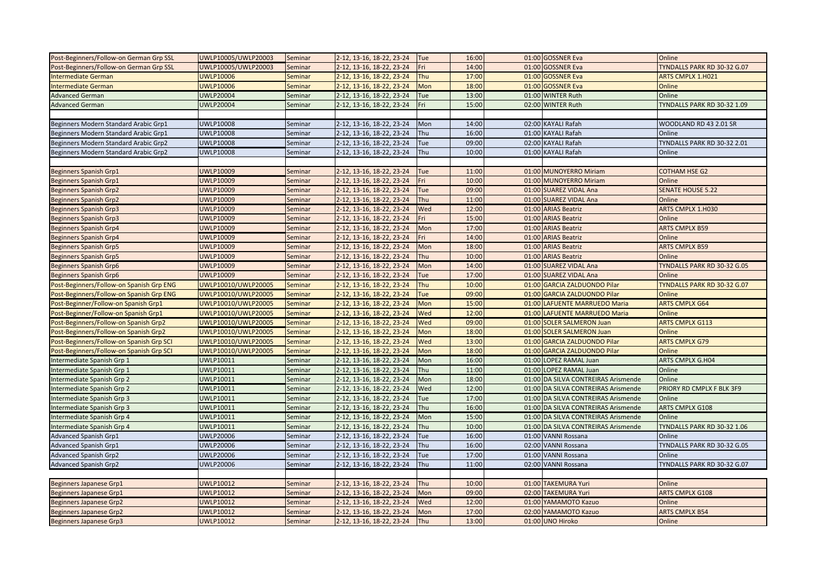| Post-Beginners/Follow-on German Grp SSL  | UWLP10005/UWLP20003 | Seminar        | 2-12, 13-16, 18-22, 23-24 | Tue        | 16:00 | 01:00 GOSSNER Eva                      | Online                      |
|------------------------------------------|---------------------|----------------|---------------------------|------------|-------|----------------------------------------|-----------------------------|
| Post-Beginners/Follow-on German Grp SSL  | UWLP10005/UWLP20003 | Seminar        | 2-12, 13-16, 18-22, 23-24 | Fri        | 14:00 | 01:00 GOSSNER Eva                      | TYNDALLS PARK RD 30-32 G.07 |
| <b>Intermediate German</b>               | <b>UWLP10006</b>    | Seminar        | 2-12, 13-16, 18-22, 23-24 | Thu        | 17:00 | 01:00 GOSSNER Eva                      | <b>ARTS CMPLX 1.H021</b>    |
| <b>Intermediate German</b>               | <b>UWLP10006</b>    | Seminar        | 2-12, 13-16, 18-22, 23-24 | Mon        | 18:00 | 01:00 GOSSNER Eva                      | Online                      |
| <b>Advanced German</b>                   | <b>UWLP20004</b>    | Seminar        | 2-12, 13-16, 18-22, 23-24 | Tue        | 13:00 | 01:00 WINTER Ruth                      | Online                      |
| <b>Advanced German</b>                   | <b>UWLP20004</b>    | Seminar        | 2-12, 13-16, 18-22, 23-24 | Fri        | 15:00 | 02:00 WINTER Ruth                      | TYNDALLS PARK RD 30-32 1.09 |
|                                          |                     |                |                           |            |       |                                        |                             |
| Beginners Modern Standard Arabic Grp1    | <b>UWLP10008</b>    | Seminar        | 2-12, 13-16, 18-22, 23-24 | Mon        | 14:00 | 02:00 KAYALI Rafah                     | WOODLAND RD 43 2.01 SR      |
| Beginners Modern Standard Arabic Grp1    | <b>UWLP10008</b>    | Seminar        | 2-12, 13-16, 18-22, 23-24 | Thu        | 16:00 | 01:00 KAYALI Rafah                     | Online                      |
| Beginners Modern Standard Arabic Grp2    | <b>UWLP10008</b>    | Seminar        | 2-12, 13-16, 18-22, 23-24 | Tue        | 09:00 | 02:00 KAYALI Rafah                     | TYNDALLS PARK RD 30-32 2.01 |
| Beginners Modern Standard Arabic Grp2    | <b>UWLP10008</b>    | Seminar        | 2-12, 13-16, 18-22, 23-24 | Thu        | 10:00 | 01:00 KAYALI Rafah                     | Online                      |
|                                          |                     |                |                           |            |       |                                        |                             |
| <b>Beginners Spanish Grp1</b>            | <b>UWLP10009</b>    | Seminar        | 2-12, 13-16, 18-22, 23-24 | Tue        | 11:00 | 01:00 MUNOYERRO Miriam                 | <b>COTHAM HSE G2</b>        |
| <b>Beginners Spanish Grp1</b>            | <b>UWLP10009</b>    | Seminar        | 2-12, 13-16, 18-22, 23-24 | Fri        | 10:00 | 01:00 MUNOYERRO Miriam                 | Online                      |
| <b>Beginners Spanish Grp2</b>            | <b>UWLP10009</b>    | Seminar        | 2-12, 13-16, 18-22, 23-24 | Tue        | 09:00 | 01:00 SUAREZ VIDAL Ana                 | <b>SENATE HOUSE 5.22</b>    |
| <b>Beginners Spanish Grp2</b>            | <b>UWLP10009</b>    | Seminar        | 2-12, 13-16, 18-22, 23-24 | <b>Thu</b> | 11:00 | 01:00 SUAREZ VIDAL Ana                 | Online                      |
| <b>Beginners Spanish Grp3</b>            | <b>UWLP10009</b>    | Seminar        | 2-12, 13-16, 18-22, 23-24 | Wed        | 12:00 | 01:00 ARIAS Beatriz                    | ARTS CMPLX 1.H030           |
| <b>Beginners Spanish Grp3</b>            | <b>UWLP10009</b>    | Seminar        | 2-12, 13-16, 18-22, 23-24 | Fri        | 15:00 | 01:00 ARIAS Beatriz                    | Online                      |
| Beginners Spanish Grp4                   | <b>UWLP10009</b>    | Seminar        | 2-12, 13-16, 18-22, 23-24 | Mon        | 17:00 | 01:00 ARIAS Beatriz                    | <b>ARTS CMPLX B59</b>       |
| Beginners Spanish Grp4                   | <b>UWLP10009</b>    | Seminar        | 2-12, 13-16, 18-22, 23-24 | Fri        | 14:00 | 01:00 ARIAS Beatriz                    | Online                      |
| <b>Beginners Spanish Grp5</b>            | <b>UWLP10009</b>    | Seminar        | 2-12, 13-16, 18-22, 23-24 | Mon        | 18:00 | 01:00 ARIAS Beatriz                    | <b>ARTS CMPLX B59</b>       |
| <b>Beginners Spanish Grp5</b>            | <b>UWLP10009</b>    | Seminar        | 2-12, 13-16, 18-22, 23-24 | Thu        | 10:00 | 01:00 ARIAS Beatriz                    | Online                      |
| Beginners Spanish Grp6                   | <b>UWLP10009</b>    | Seminar        | 2-12, 13-16, 18-22, 23-24 | Mon        | 14:00 | 01:00 SUAREZ VIDAL Ana                 | TYNDALLS PARK RD 30-32 G.05 |
| <b>Beginners Spanish Grp6</b>            | <b>UWLP10009</b>    | Seminar        | 2-12, 13-16, 18-22, 23-24 | Tue        | 17:00 | 01:00 SUAREZ VIDAL Ana                 | Online                      |
| Post-Beginners/Follow-on Spanish Grp ENG | UWLP10010/UWLP20005 | <b>Seminar</b> | 2-12, 13-16, 18-22, 23-24 | Thu        | 10:00 | 01:00 GARCIA ZALDUONDO Pilar           | TYNDALLS PARK RD 30-32 G.07 |
| Post-Beginners/Follow-on Spanish Grp ENG | UWLP10010/UWLP20005 | Seminar        | 2-12, 13-16, 18-22, 23-24 | Tue        | 09:00 | 01:00 GARCIA ZALDUONDO Pilar           | Online                      |
| Post-Beginner/Follow-on Spanish Grp1     | UWLP10010/UWLP20005 | <b>Seminar</b> | 2-12, 13-16, 18-22, 23-24 | Mon        | 15:00 | 01:00 LAFUENTE MARRUEDO Maria          | <b>ARTS CMPLX G64</b>       |
| Post-Beginner/Follow-on Spanish Grp1     | UWLP10010/UWLP20005 | Seminar        | 2-12, 13-16, 18-22, 23-24 | Wed        | 12:00 | 01:00 LAFUENTE MARRUEDO Maria          | Online                      |
| Post-Beginners/Follow-on Spanish Grp2    | UWLP10010/UWLP20005 | <b>Seminar</b> | 2-12, 13-16, 18-22, 23-24 | Wed        | 09:00 | 01:00 SOLER SALMERON Juan              | <b>ARTS CMPLX G113</b>      |
| Post-Beginners/Follow-on Spanish Grp2    | UWLP10010/UWLP20005 | Seminar        | 2-12, 13-16, 18-22, 23-24 | Mon        | 18:00 | 01:00 SOLER SALMERON Juan              | Online                      |
| Post-Beginners/Follow-on Spanish Grp SCI | UWLP10010/UWLP20005 | Seminar        | 2-12, 13-16, 18-22, 23-24 | Wed        | 13:00 | <b>GARCIA ZALDUONDO Pilar</b><br>01:00 | <b>ARTS CMPLX G79</b>       |
| Post-Beginners/Follow-on Spanish Grp SCI | UWLP10010/UWLP20005 | Seminar        | 2-12, 13-16, 18-22, 23-24 | Mon        | 18:00 | 01:00 GARCIA ZALDUONDO Pilar           | Online                      |
| ntermediate Spanish Grp 1                | UWLP10011           | Seminar        | 2-12, 13-16, 18-22, 23-24 | Mon        | 16:00 | 01:00 LOPEZ RAMAL Juan                 | ARTS CMPLX G.H04            |
| ntermediate Spanish Grp 1                | UWLP10011           | Seminar        | 2-12, 13-16, 18-22, 23-24 | Thu        | 11:00 | 01:00 LOPEZ RAMAL Juan                 | Online                      |
| ntermediate Spanish Grp 2                | UWLP10011           | Seminar        | 2-12, 13-16, 18-22, 23-24 | Mon        | 18:00 | 01:00 DA SILVA CONTREIRAS Arismende    | Online                      |
| ntermediate Spanish Grp 2                | UWLP10011           | Seminar        | 2-12, 13-16, 18-22, 23-24 | Wed        | 12:00 | 01:00 DA SILVA CONTREIRAS Arismende    | PRIORY RD CMPLX F BLK 3F9   |
| ntermediate Spanish Grp 3                | UWLP10011           | Seminar        | 2-12, 13-16, 18-22, 23-24 | Tue        | 17:00 | 01:00 DA SILVA CONTREIRAS Arismende    | Online                      |
| ntermediate Spanish Grp 3                | UWLP10011           | Seminar        | 2-12, 13-16, 18-22, 23-24 | Thu        | 16:00 | 01:00 DA SILVA CONTREIRAS Arismende    | ARTS CMPLX G108             |
| ntermediate Spanish Grp 4                | UWLP10011           | Seminar        | 2-12, 13-16, 18-22, 23-24 | Mon        | 15:00 | 01:00 DA SILVA CONTREIRAS Arismende    | Online                      |
| ntermediate Spanish Grp 4                | UWLP10011           | Seminar        | 2-12, 13-16, 18-22, 23-24 | <b>Thu</b> | 10:00 | 01:00 DA SILVA CONTREIRAS Arismende    | TYNDALLS PARK RD 30-32 1.06 |
| <b>Advanced Spanish Grp1</b>             | <b>UWLP20006</b>    | Seminar        | 2-12, 13-16, 18-22, 23-24 | Tue        | 16:00 | 01:00 VANNI Rossana                    | Online                      |
| <b>Advanced Spanish Grp1</b>             | <b>UWLP20006</b>    | Seminar        | 2-12, 13-16, 18-22, 23-24 | <b>Thu</b> | 16:00 | <b>VANNI Rossana</b><br>02:00          | TYNDALLS PARK RD 30-32 G.05 |
| <b>Advanced Spanish Grp2</b>             | <b>UWLP20006</b>    | Seminar        | 2-12, 13-16, 18-22, 23-24 | <b>Tue</b> | 17:00 | <b>VANNI Rossana</b><br>01:00          | Online                      |
| <b>Advanced Spanish Grp2</b>             | <b>UWLP20006</b>    | Seminar        | 2-12, 13-16, 18-22, 23-24 | Thu        | 11:00 | 02:00 VANNI Rossana                    | TYNDALLS PARK RD 30-32 G.07 |
|                                          |                     |                |                           |            |       |                                        |                             |
| <b>Beginners Japanese Grp1</b>           | <b>UWLP10012</b>    | Seminar        | 2-12, 13-16, 18-22, 23-24 | <b>Thu</b> | 10:00 | 01:00 TAKEMURA Yuri                    | Online                      |
| <b>Beginners Japanese Grp1</b>           | <b>UWLP10012</b>    | Seminar        | 2-12, 13-16, 18-22, 23-24 | Mon        | 09:00 | 02:00 TAKEMURA Yuri                    | <b>ARTS CMPLX G108</b>      |
| <b>Beginners Japanese Grp2</b>           | <b>UWLP10012</b>    | Seminar        | 2-12, 13-16, 18-22, 23-24 | Wed        | 12:00 | 01:00 YAMAMOTO Kazuo                   | Online                      |
| <b>Beginners Japanese Grp2</b>           | <b>UWLP10012</b>    | Seminar        | 2-12, 13-16, 18-22, 23-24 | Mon        | 17:00 | 02:00<br>YAMAMOTO Kazuo                | <b>ARTS CMPLX B54</b>       |
| <b>Beginners Japanese Grp3</b>           | <b>UWLP10012</b>    | Seminar        | 2-12, 13-16, 18-22, 23-24 | Thu        | 13:00 | 01:00 UNO Hiroko                       | Online                      |